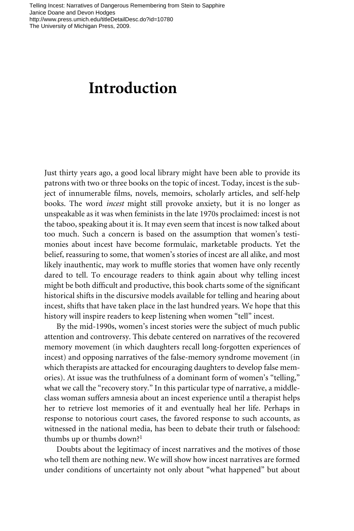## **Introduction**

Just thirty years ago, a good local library might have been able to provide its patrons with two or three books on the topic of incest. Today, incest is the subject of innumerable films, novels, memoirs, scholarly articles, and self-help books. The word *incest* might still provoke anxiety, but it is no longer as unspeakable as it was when feminists in the late 1970s proclaimed: incest is not the taboo, speaking about it is. It may even seem that incest is now talked about too much. Such a concern is based on the assumption that women's testimonies about incest have become formulaic, marketable products. Yet the belief, reassuring to some, that women's stories of incest are all alike, and most likely inauthentic, may work to muffle stories that women have only recently dared to tell. To encourage readers to think again about why telling incest might be both difficult and productive, this book charts some of the significant historical shifts in the discursive models available for telling and hearing about incest, shifts that have taken place in the last hundred years. We hope that this history will inspire readers to keep listening when women "tell" incest.

By the mid-1990s, women's incest stories were the subject of much public attention and controversy. This debate centered on narratives of the recovered memory movement (in which daughters recall long-forgotten experiences of incest) and opposing narratives of the false-memory syndrome movement (in which therapists are attacked for encouraging daughters to develop false memories). At issue was the truthfulness of a dominant form of women's "telling," what we call the "recovery story." In this particular type of narrative, a middleclass woman suffers amnesia about an incest experience until a therapist helps her to retrieve lost memories of it and eventually heal her life. Perhaps in response to notorious court cases, the favored response to such accounts, as witnessed in the national media, has been to debate their truth or falsehood: thumbs up or thumbs down?1

Doubts about the legitimacy of incest narratives and the motives of those who tell them are nothing new. We will show how incest narratives are formed under conditions of uncertainty not only about "what happened" but about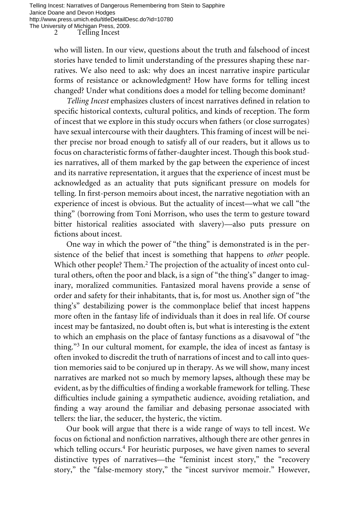2 Telling Incest Telling Incest: Narratives of Dangerous Remembering from Stein to Sapphire Janice Doane and Devon Hodges http://www.press.umich.edu/titleDetailDesc.do?id=10780 The University of Michigan Press, 2009.

> who will listen. In our view, questions about the truth and falsehood of incest stories have tended to limit understanding of the pressures shaping these narratives. We also need to ask: why does an incest narrative inspire particular forms of resistance or acknowledgment? How have forms for telling incest changed? Under what conditions does a model for telling become dominant?

> *Telling Incest* emphasizes clusters of incest narratives defined in relation to specific historical contexts, cultural politics, and kinds of reception. The form of incest that we explore in this study occurs when fathers (or close surrogates) have sexual intercourse with their daughters. This framing of incest will be neither precise nor broad enough to satisfy all of our readers, but it allows us to focus on characteristic forms of father-daughter incest. Though this book studies narratives, all of them marked by the gap between the experience of incest and its narrative representation, it argues that the experience of incest must be acknowledged as an actuality that puts significant pressure on models for telling. In first-person memoirs about incest, the narrative negotiation with an experience of incest is obvious. But the actuality of incest—what we call "the thing" (borrowing from Toni Morrison, who uses the term to gesture toward bitter historical realities associated with slavery)—also puts pressure on fictions about incest.

> One way in which the power of "the thing" is demonstrated is in the persistence of the belief that incest is something that happens to *other* people. Which other people? Them.<sup>2</sup> The projection of the actuality of incest onto cultural others, often the poor and black, is a sign of "the thing's" danger to imaginary, moralized communities. Fantasized moral havens provide a sense of order and safety for their inhabitants, that is, for most us. Another sign of "the thing's" destabilizing power is the commonplace belief that incest happens more often in the fantasy life of individuals than it does in real life. Of course incest may be fantasized, no doubt often is, but what is interesting is the extent to which an emphasis on the place of fantasy functions as a disavowal of "the thing."<sup>3</sup> In our cultural moment, for example, the idea of incest as fantasy is often invoked to discredit the truth of narrations of incest and to call into question memories said to be conjured up in therapy. As we will show, many incest narratives are marked not so much by memory lapses, although these may be evident, as by the difficulties of finding a workable framework for telling. These difficulties include gaining a sympathetic audience, avoiding retaliation, and finding a way around the familiar and debasing personae associated with tellers: the liar, the seducer, the hysteric, the victim.

> Our book will argue that there is a wide range of ways to tell incest. We focus on fictional and nonfiction narratives, although there are other genres in which telling occurs.<sup>4</sup> For heuristic purposes, we have given names to several distinctive types of narratives—the "feminist incest story," the "recovery story," the "false-memory story," the "incest survivor memoir." However,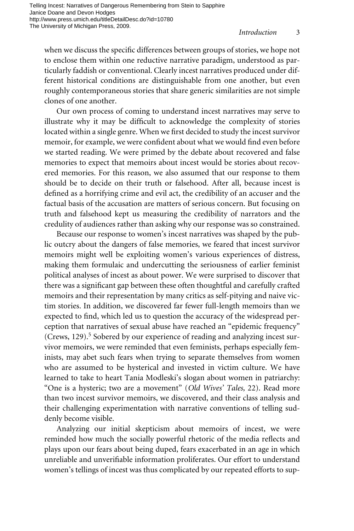when we discuss the specific differences between groups of stories, we hope not to enclose them within one reductive narrative paradigm, understood as particularly faddish or conventional. Clearly incest narratives produced under different historical conditions are distinguishable from one another, but even roughly contemporaneous stories that share generic similarities are not simple clones of one another.

Our own process of coming to understand incest narratives may serve to illustrate why it may be difficult to acknowledge the complexity of stories located within a single genre. When we first decided to study the incest survivor memoir, for example, we were confident about what we would find even before we started reading. We were primed by the debate about recovered and false memories to expect that memoirs about incest would be stories about recovered memories. For this reason, we also assumed that our response to them should be to decide on their truth or falsehood. After all, because incest is defined as a horrifying crime and evil act, the credibility of an accuser and the factual basis of the accusation are matters of serious concern. But focusing on truth and falsehood kept us measuring the credibility of narrators and the credulity of audiences rather than asking why our response was so constrained.

Because our response to women's incest narratives was shaped by the public outcry about the dangers of false memories, we feared that incest survivor memoirs might well be exploiting women's various experiences of distress, making them formulaic and undercutting the seriousness of earlier feminist political analyses of incest as about power. We were surprised to discover that there was a significant gap between these often thoughtful and carefully crafted memoirs and their representation by many critics as self-pitying and naive victim stories. In addition, we discovered far fewer full-length memoirs than we expected to find, which led us to question the accuracy of the widespread perception that narratives of sexual abuse have reached an "epidemic frequency" (Crews, 129).<sup>5</sup> Sobered by our experience of reading and analyzing incest survivor memoirs, we were reminded that even feminists, perhaps especially feminists, may abet such fears when trying to separate themselves from women who are assumed to be hysterical and invested in victim culture. We have learned to take to heart Tania Modleski's slogan about women in patriarchy: "One is a hysteric; two are a movement" (*Old Wives' Tales,* 22). Read more than two incest survivor memoirs, we discovered, and their class analysis and their challenging experimentation with narrative conventions of telling suddenly become visible.

Analyzing our initial skepticism about memoirs of incest, we were reminded how much the socially powerful rhetoric of the media reflects and plays upon our fears about being duped, fears exacerbated in an age in which unreliable and unverifiable information proliferates. Our effort to understand women's tellings of incest was thus complicated by our repeated efforts to sup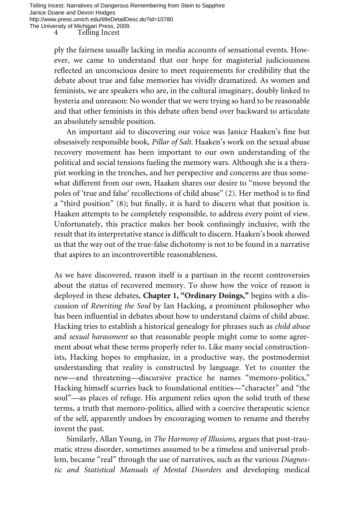ply the fairness usually lacking in media accounts of sensational events. However, we came to understand that our hope for magisterial judiciousness reflected an unconscious desire to meet requirements for credibility that the debate about true and false memories has vividly dramatized. As women and feminists, we are speakers who are, in the cultural imaginary, doubly linked to hysteria and unreason: No wonder that we were trying so hard to be reasonable and that other feminists in this debate often bend over backward to articulate an absolutely sensible position.

An important aid to discovering our voice was Janice Haaken's fine but obsessively responsible book, *Pillar of Salt.* Haaken's work on the sexual abuse recovery movement has been important to our own understanding of the political and social tensions fueling the memory wars. Although she is a therapist working in the trenches, and her perspective and concerns are thus somewhat different from our own, Haaken shares our desire to "move beyond the poles of 'true and false' recollections of child abuse" (2). Her method is to find a "third position"  $(8)$ ; but finally, it is hard to discern what that position is. Haaken attempts to be completely responsible, to address every point of view. Unfortunately, this practice makes her book confusingly inclusive, with the result that its interpretative stance is difficult to discern. Haaken's book showed us that the way out of the true-false dichotomy is not to be found in a narrative that aspires to an incontrovertible reasonableness.

As we have discovered, reason itself is a partisan in the recent controversies about the status of recovered memory. To show how the voice of reason is deployed in these debates, **Chapter 1, "Ordinary Doings,"** begins with a discussion of *Rewriting the Soul* by Ian Hacking, a prominent philosopher who has been influential in debates about how to understand claims of child abuse. Hacking tries to establish a historical genealogy for phrases such as *child abuse* and *sexual harassment* so that reasonable people might come to some agreement about what these terms properly refer to. Like many social constructionists, Hacking hopes to emphasize, in a productive way, the postmodernist understanding that reality is constructed by language. Yet to counter the new—and threatening—discursive practice he names "memoro-politics," Hacking himself scurries back to foundational entities—"character" and "the soul"—as places of refuge. His argument relies upon the solid truth of these terms, a truth that memoro-politics, allied with a coercive therapeutic science of the self, apparently undoes by encouraging women to rename and thereby invent the past.

Similarly, Allan Young, in *The Harmony of Illusions,* argues that post-traumatic stress disorder, sometimes assumed to be a timeless and universal problem, became "real" through the use of narratives, such as the various *Diagnostic and Statistical Manuals of Mental Disorders* and developing medical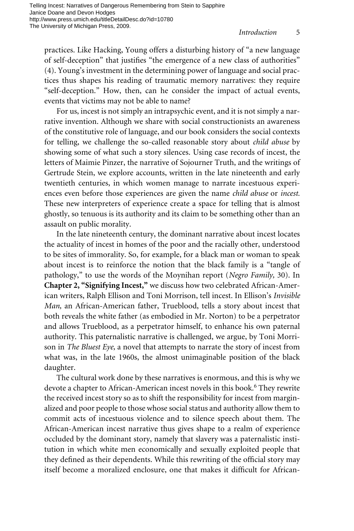practices. Like Hacking, Young offers a disturbing history of "a new language of self-deception" that justifies "the emergence of a new class of authorities" (4). Young's investment in the determining power of language and social practices thus shapes his reading of traumatic memory narratives: they require "self-deception." How, then, can he consider the impact of actual events, events that victims may not be able to name?

For us, incest is not simply an intrapsychic event, and it is not simply a narrative invention. Although we share with social constructionists an awareness of the constitutive role of language, and our book considers the social contexts for telling, we challenge the so-called reasonable story about *child abuse* by showing some of what such a story silences. Using case records of incest, the letters of Maimie Pinzer, the narrative of Sojourner Truth, and the writings of Gertrude Stein, we explore accounts, written in the late nineteenth and early twentieth centuries, in which women manage to narrate incestuous experiences even before those experiences are given the name *child abuse* or *incest.* These new interpreters of experience create a space for telling that is almost ghostly, so tenuous is its authority and its claim to be something other than an assault on public morality.

In the late nineteenth century, the dominant narrative about incest locates the actuality of incest in homes of the poor and the racially other, understood to be sites of immorality. So, for example, for a black man or woman to speak about incest is to reinforce the notion that the black family is a "tangle of pathology," to use the words of the Moynihan report (*Negro Family,* 30). In **Chapter 2, "Signifying Incest,"** we discuss how two celebrated African-American writers, Ralph Ellison and Toni Morrison, tell incest. In Ellison's *Invisible Man,* an African-American father, Trueblood, tells a story about incest that both reveals the white father (as embodied in Mr. Norton) to be a perpetrator and allows Trueblood, as a perpetrator himself, to enhance his own paternal authority. This paternalistic narrative is challenged, we argue, by Toni Morrison in *The Bluest Eye,* a novel that attempts to narrate the story of incest from what was, in the late 1960s, the almost unimaginable position of the black daughter.

The cultural work done by these narratives is enormous, and this is why we devote a chapter to African-American incest novels in this book.<sup>6</sup> They rewrite the received incest story so as to shift the responsibility for incest from marginalized and poor people to those whose social status and authority allow them to commit acts of incestuous violence and to silence speech about them. The African-American incest narrative thus gives shape to a realm of experience occluded by the dominant story, namely that slavery was a paternalistic institution in which white men economically and sexually exploited people that they defined as their dependents. While this rewriting of the official story may itself become a moralized enclosure, one that makes it difficult for African-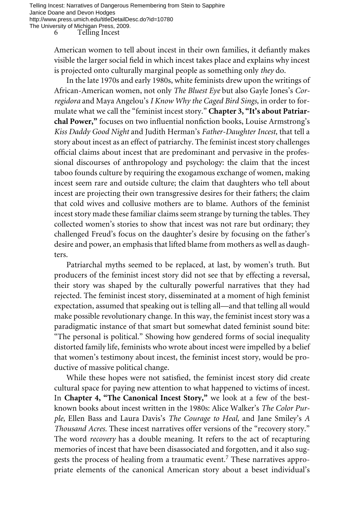6 Telling Incest Telling Incest: Narratives of Dangerous Remembering from Stein to Sapphire Janice Doane and Devon Hodges http://www.press.umich.edu/titleDetailDesc.do?id=10780 The University of Michigan Press, 2009.

> American women to tell about incest in their own families, it defiantly makes visible the larger social field in which incest takes place and explains why incest is projected onto culturally marginal people as something only *they* do.

> In the late 1970s and early 1980s, white feminists drew upon the writings of African-American women, not only *The Bluest Eye* but also Gayle Jones's *Corregidora* and Maya Angelou's *I Know Why the Caged Bird Sings,* in order to formulate what we call the "feminist incest story." **Chapter 3, "It's about Patriarchal Power,"** focuses on two influential nonfiction books, Louise Armstrong's *Kiss Daddy Good Night* and Judith Herman's *Father-Daughter Incest,* that tell a story about incest as an effect of patriarchy. The feminist incest story challenges official claims about incest that are predominant and pervasive in the professional discourses of anthropology and psychology: the claim that the incest taboo founds culture by requiring the exogamous exchange of women, making incest seem rare and outside culture; the claim that daughters who tell about incest are projecting their own transgressive desires for their fathers; the claim that cold wives and collusive mothers are to blame. Authors of the feminist incest story made these familiar claims seem strange by turning the tables. They collected women's stories to show that incest was not rare but ordinary; they challenged Freud's focus on the daughter's desire by focusing on the father's desire and power, an emphasis that lifted blame from mothers as well as daughters.

> Patriarchal myths seemed to be replaced, at last, by women's truth. But producers of the feminist incest story did not see that by effecting a reversal, their story was shaped by the culturally powerful narratives that they had rejected. The feminist incest story, disseminated at a moment of high feminist expectation, assumed that speaking out is telling all—and that telling all would make possible revolutionary change. In this way, the feminist incest story was a paradigmatic instance of that smart but somewhat dated feminist sound bite: "The personal is political." Showing how gendered forms of social inequality distorted family life, feminists who wrote about incest were impelled by a belief that women's testimony about incest, the feminist incest story, would be productive of massive political change.

> While these hopes were not satisfied, the feminist incest story did create cultural space for paying new attention to what happened to victims of incest. In **Chapter 4, "The Canonical Incest Story,"** we look at a few of the bestknown books about incest written in the 1980s: Alice Walker's *The Color Purple,* Ellen Bass and Laura Davis's *The Courage to Heal,* and Jane Smiley's *A Thousand Acres.* These incest narratives offer versions of the "recovery story." The word *recovery* has a double meaning. It refers to the act of recapturing memories of incest that have been disassociated and forgotten, and it also suggests the process of healing from a traumatic event.<sup>7</sup> These narratives appropriate elements of the canonical American story about a beset individual's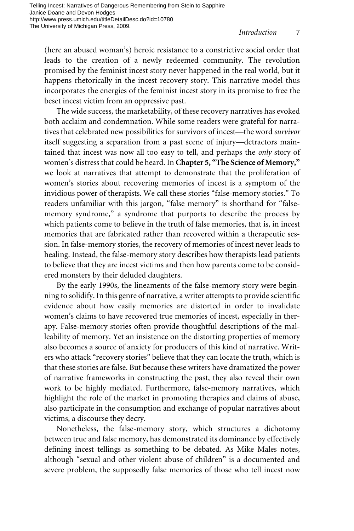(here an abused woman's) heroic resistance to a constrictive social order that leads to the creation of a newly redeemed community. The revolution promised by the feminist incest story never happened in the real world, but it happens rhetorically in the incest recovery story. This narrative model thus incorporates the energies of the feminist incest story in its promise to free the beset incest victim from an oppressive past.

The wide success, the marketability, of these recovery narratives has evoked both acclaim and condemnation. While some readers were grateful for narratives that celebrated new possibilities for survivors of incest—the word *survivor* itself suggesting a separation from a past scene of injury—detractors maintained that incest was now all too easy to tell, and perhaps the *only* story of women's distress that could be heard. In **Chapter 5, "The Science of Memory,"** we look at narratives that attempt to demonstrate that the proliferation of women's stories about recovering memories of incest is a symptom of the invidious power of therapists. We call these stories "false-memory stories." To readers unfamiliar with this jargon, "false memory" is shorthand for "falsememory syndrome," a syndrome that purports to describe the process by which patients come to believe in the truth of false memories, that is, in incest memories that are fabricated rather than recovered within a therapeutic session. In false-memory stories, the recovery of memories of incest never leads to healing. Instead, the false-memory story describes how therapists lead patients to believe that they are incest victims and then how parents come to be considered monsters by their deluded daughters.

By the early 1990s, the lineaments of the false-memory story were beginning to solidify. In this genre of narrative, a writer attempts to provide scientific evidence about how easily memories are distorted in order to invalidate women's claims to have recovered true memories of incest, especially in therapy. False-memory stories often provide thoughtful descriptions of the malleability of memory. Yet an insistence on the distorting properties of memory also becomes a source of anxiety for producers of this kind of narrative. Writers who attack "recovery stories" believe that they can locate the truth, which is that these stories are false. But because these writers have dramatized the power of narrative frameworks in constructing the past, they also reveal their own work to be highly mediated. Furthermore, false-memory narratives, which highlight the role of the market in promoting therapies and claims of abuse, also participate in the consumption and exchange of popular narratives about victims, a discourse they decry.

Nonetheless, the false-memory story, which structures a dichotomy between true and false memory, has demonstrated its dominance by effectively defining incest tellings as something to be debated. As Mike Males notes, although "sexual and other violent abuse of children" is a documented and severe problem, the supposedly false memories of those who tell incest now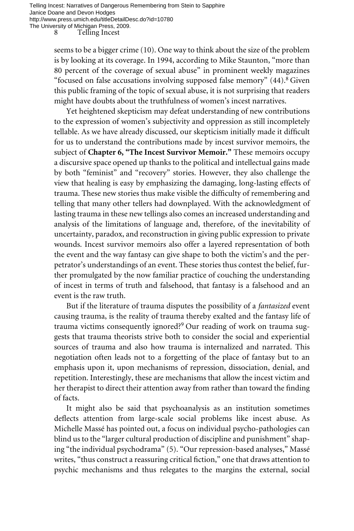seems to be a bigger crime (10). One way to think about the size of the problem is by looking at its coverage. In 1994, according to Mike Staunton, "more than 80 percent of the coverage of sexual abuse" in prominent weekly magazines "focused on false accusations involving supposed false memory"  $(44)$ .<sup>8</sup> Given this public framing of the topic of sexual abuse, it is not surprising that readers might have doubts about the truthfulness of women's incest narratives.

Yet heightened skepticism may defeat understanding of new contributions to the expression of women's subjectivity and oppression as still incompletely tellable. As we have already discussed, our skepticism initially made it difficult for us to understand the contributions made by incest survivor memoirs, the subject of **Chapter 6, "The Incest Survivor Memoir."** These memoirs occupy a discursive space opened up thanks to the political and intellectual gains made by both "feminist" and "recovery" stories. However, they also challenge the view that healing is easy by emphasizing the damaging, long-lasting effects of trauma. These new stories thus make visible the difficulty of remembering and telling that many other tellers had downplayed. With the acknowledgment of lasting trauma in these new tellings also comes an increased understanding and analysis of the limitations of language and, therefore, of the inevitability of uncertainty, paradox, and reconstruction in giving public expression to private wounds. Incest survivor memoirs also offer a layered representation of both the event and the way fantasy can give shape to both the victim's and the perpetrator's understandings of an event. These stories thus contest the belief, further promulgated by the now familiar practice of couching the understanding of incest in terms of truth and falsehood, that fantasy is a falsehood and an event is the raw truth.

But if the literature of trauma disputes the possibility of a *fantasized* event causing trauma, is the reality of trauma thereby exalted and the fantasy life of trauma victims consequently ignored?9 Our reading of work on trauma suggests that trauma theorists strive both to consider the social and experiential sources of trauma and also how trauma is internalized and narrated. This negotiation often leads not to a forgetting of the place of fantasy but to an emphasis upon it, upon mechanisms of repression, dissociation, denial, and repetition. Interestingly, these are mechanisms that allow the incest victim and her therapist to direct their attention away from rather than toward the finding of facts.

It might also be said that psychoanalysis as an institution sometimes deflects attention from large-scale social problems like incest abuse. As Michelle Massé has pointed out, a focus on individual psycho-pathologies can blind us to the "larger cultural production of discipline and punishment" shaping "the individual psychodrama" (5). "Our repression-based analyses," Massé writes, "thus construct a reassuring critical fiction," one that draws attention to psychic mechanisms and thus relegates to the margins the external, social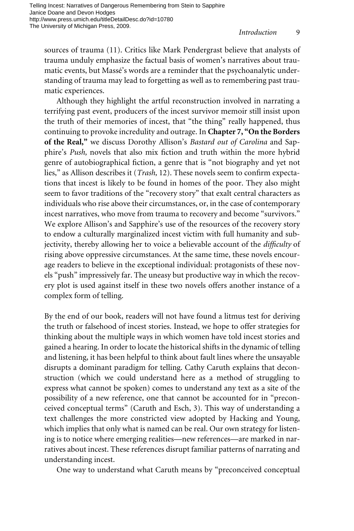Telling Incest: Narratives of Dangerous Remembering from Stein to Sapphire Janice Doane and Devon Hodges http://www.press.umich.edu/titleDetailDesc.do?id=10780 The University of Michigan Press, 2009.

sources of trauma (11). Critics like Mark Pendergrast believe that analysts of trauma unduly emphasize the factual basis of women's narratives about traumatic events, but Massé's words are a reminder that the psychoanalytic understanding of trauma may lead to forgetting as well as to remembering past traumatic experiences.

Although they highlight the artful reconstruction involved in narrating a terrifying past event, producers of the incest survivor memoir still insist upon the truth of their memories of incest, that "the thing" really happened, thus continuing to provoke incredulity and outrage. In **Chapter 7, "On the Borders of the Real,"** we discuss Dorothy Allison's *Bastard out of Carolina* and Sapphire's Push, novels that also mix fiction and truth within the more hybrid genre of autobiographical fiction, a genre that is "not biography and yet not lies," as Allison describes it (*Trash*, 12). These novels seem to confirm expectations that incest is likely to be found in homes of the poor. They also might seem to favor traditions of the "recovery story" that exalt central characters as individuals who rise above their circumstances, or, in the case of contemporary incest narratives, who move from trauma to recovery and become "survivors." We explore Allison's and Sapphire's use of the resources of the recovery story to endow a culturally marginalized incest victim with full humanity and subjectivity, thereby allowing her to voice a believable account of the *difficulty* of rising above oppressive circumstances. At the same time, these novels encourage readers to believe in the exceptional individual: protagonists of these novels "push" impressively far. The uneasy but productive way in which the recovery plot is used against itself in these two novels offers another instance of a complex form of telling.

By the end of our book, readers will not have found a litmus test for deriving the truth or falsehood of incest stories. Instead, we hope to offer strategies for thinking about the multiple ways in which women have told incest stories and gained a hearing. In order to locate the historical shifts in the dynamic of telling and listening, it has been helpful to think about fault lines where the unsayable disrupts a dominant paradigm for telling. Cathy Caruth explains that deconstruction (which we could understand here as a method of struggling to express what cannot be spoken) comes to understand any text as a site of the possibility of a new reference, one that cannot be accounted for in "preconceived conceptual terms" (Caruth and Esch, 3). This way of understanding a text challenges the more constricted view adopted by Hacking and Young, which implies that only what is named can be real. Our own strategy for listening is to notice where emerging realities—new references—are marked in narratives about incest. These references disrupt familiar patterns of narrating and understanding incest.

One way to understand what Caruth means by "preconceived conceptual